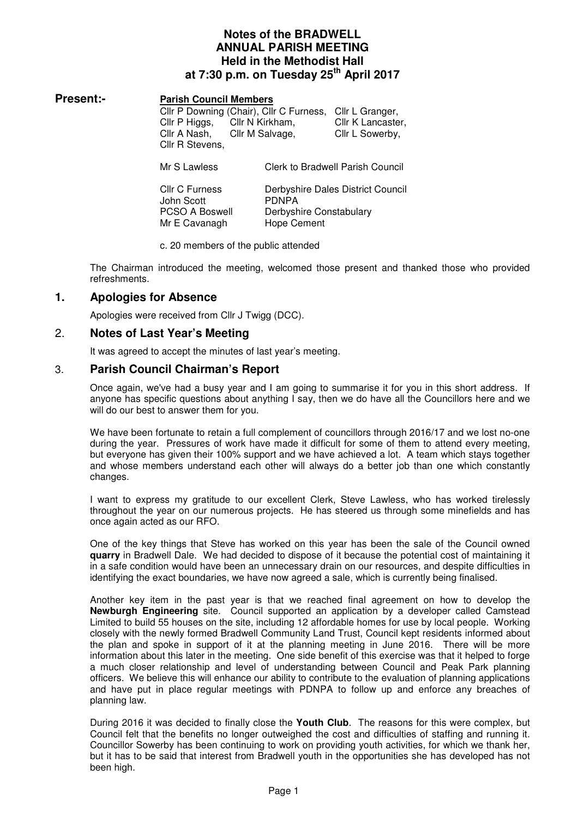# **Notes of the BRADWELL ANNUAL PARISH MEETING Held in the Methodist Hall at 7:30 p.m. on Tuesday 25th April 2017**

### **Present:- Parish Council Members**

Cllr P Downing (Chair), Cllr C Furness, Cllr L Granger, Cllr P Higgs, Cllr N Kirkham, Cllr K Lancaster, Cllr A Nash, Cllr M Salvage, Cllr L Sowerby, Cllr R Stevens,

Mr S Lawless Clerk to Bradwell Parish Council

Cllr C Furness Derbyshire Dales District Council John Scott PDNPA PCSO A Boswell Derbyshire Constabulary Mr E Cavanagh Hope Cement

c. 20 members of the public attended

The Chairman introduced the meeting, welcomed those present and thanked those who provided refreshments.

# **1. Apologies for Absence**

Apologies were received from Cllr J Twigg (DCC).

# 2. **Notes of Last Year's Meeting**

It was agreed to accept the minutes of last year's meeting.

# 3. **Parish Council Chairman's Report**

Once again, we've had a busy year and I am going to summarise it for you in this short address. If anyone has specific questions about anything I say, then we do have all the Councillors here and we will do our best to answer them for you.

We have been fortunate to retain a full complement of councillors through 2016/17 and we lost no-one during the year. Pressures of work have made it difficult for some of them to attend every meeting, but everyone has given their 100% support and we have achieved a lot. A team which stays together and whose members understand each other will always do a better job than one which constantly changes.

I want to express my gratitude to our excellent Clerk, Steve Lawless, who has worked tirelessly throughout the year on our numerous projects. He has steered us through some minefields and has once again acted as our RFO.

One of the key things that Steve has worked on this year has been the sale of the Council owned **quarry** in Bradwell Dale. We had decided to dispose of it because the potential cost of maintaining it in a safe condition would have been an unnecessary drain on our resources, and despite difficulties in identifying the exact boundaries, we have now agreed a sale, which is currently being finalised.

Another key item in the past year is that we reached final agreement on how to develop the **Newburgh Engineering** site. Council supported an application by a developer called Camstead Limited to build 55 houses on the site, including 12 affordable homes for use by local people. Working closely with the newly formed Bradwell Community Land Trust, Council kept residents informed about the plan and spoke in support of it at the planning meeting in June 2016. There will be more information about this later in the meeting. One side benefit of this exercise was that it helped to forge a much closer relationship and level of understanding between Council and Peak Park planning officers. We believe this will enhance our ability to contribute to the evaluation of planning applications and have put in place regular meetings with PDNPA to follow up and enforce any breaches of planning law.

During 2016 it was decided to finally close the **Youth Club**. The reasons for this were complex, but Council felt that the benefits no longer outweighed the cost and difficulties of staffing and running it. Councillor Sowerby has been continuing to work on providing youth activities, for which we thank her, but it has to be said that interest from Bradwell youth in the opportunities she has developed has not been high.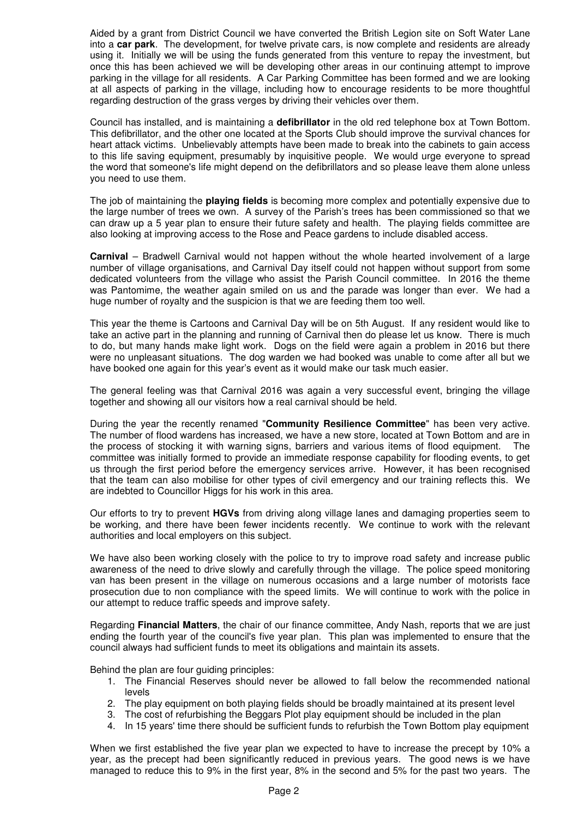Aided by a grant from District Council we have converted the British Legion site on Soft Water Lane into a **car park**. The development, for twelve private cars, is now complete and residents are already using it. Initially we will be using the funds generated from this venture to repay the investment, but once this has been achieved we will be developing other areas in our continuing attempt to improve parking in the village for all residents. A Car Parking Committee has been formed and we are looking at all aspects of parking in the village, including how to encourage residents to be more thoughtful regarding destruction of the grass verges by driving their vehicles over them.

Council has installed, and is maintaining a **defibrillator** in the old red telephone box at Town Bottom. This defibrillator, and the other one located at the Sports Club should improve the survival chances for heart attack victims. Unbelievably attempts have been made to break into the cabinets to gain access to this life saving equipment, presumably by inquisitive people. We would urge everyone to spread the word that someone's life might depend on the defibrillators and so please leave them alone unless you need to use them.

The job of maintaining the **playing fields** is becoming more complex and potentially expensive due to the large number of trees we own. A survey of the Parish's trees has been commissioned so that we can draw up a 5 year plan to ensure their future safety and health. The playing fields committee are also looking at improving access to the Rose and Peace gardens to include disabled access.

**Carnival** – Bradwell Carnival would not happen without the whole hearted involvement of a large number of village organisations, and Carnival Day itself could not happen without support from some dedicated volunteers from the village who assist the Parish Council committee. In 2016 the theme was Pantomime, the weather again smiled on us and the parade was longer than ever. We had a huge number of royalty and the suspicion is that we are feeding them too well.

This year the theme is Cartoons and Carnival Day will be on 5th August. If any resident would like to take an active part in the planning and running of Carnival then do please let us know. There is much to do, but many hands make light work. Dogs on the field were again a problem in 2016 but there were no unpleasant situations. The dog warden we had booked was unable to come after all but we have booked one again for this year's event as it would make our task much easier.

The general feeling was that Carnival 2016 was again a very successful event, bringing the village together and showing all our visitors how a real carnival should be held.

During the year the recently renamed "**Community Resilience Committee**" has been very active. The number of flood wardens has increased, we have a new store, located at Town Bottom and are in the process of stocking it with warning signs, barriers and various items of flood equipment. The committee was initially formed to provide an immediate response capability for flooding events, to get us through the first period before the emergency services arrive. However, it has been recognised that the team can also mobilise for other types of civil emergency and our training reflects this. We are indebted to Councillor Higgs for his work in this area.

Our efforts to try to prevent **HGVs** from driving along village lanes and damaging properties seem to be working, and there have been fewer incidents recently. We continue to work with the relevant authorities and local employers on this subject.

We have also been working closely with the police to try to improve road safety and increase public awareness of the need to drive slowly and carefully through the village. The police speed monitoring van has been present in the village on numerous occasions and a large number of motorists face prosecution due to non compliance with the speed limits. We will continue to work with the police in our attempt to reduce traffic speeds and improve safety.

Regarding **Financial Matters**, the chair of our finance committee, Andy Nash, reports that we are just ending the fourth year of the council's five year plan. This plan was implemented to ensure that the council always had sufficient funds to meet its obligations and maintain its assets.

Behind the plan are four guiding principles:

- 1. The Financial Reserves should never be allowed to fall below the recommended national levels
- 2. The play equipment on both playing fields should be broadly maintained at its present level
- 3. The cost of refurbishing the Beggars Plot play equipment should be included in the plan
- 4. In 15 years' time there should be sufficient funds to refurbish the Town Bottom play equipment

When we first established the five year plan we expected to have to increase the precept by 10% a year, as the precept had been significantly reduced in previous years. The good news is we have managed to reduce this to 9% in the first year, 8% in the second and 5% for the past two years. The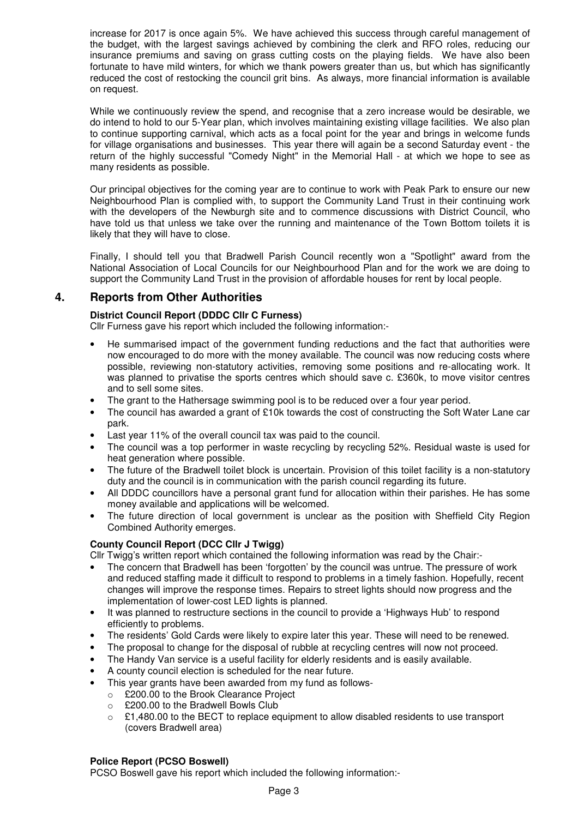increase for 2017 is once again 5%. We have achieved this success through careful management of the budget, with the largest savings achieved by combining the clerk and RFO roles, reducing our insurance premiums and saving on grass cutting costs on the playing fields. We have also been fortunate to have mild winters, for which we thank powers greater than us, but which has significantly reduced the cost of restocking the council grit bins. As always, more financial information is available on request.

While we continuously review the spend, and recognise that a zero increase would be desirable, we do intend to hold to our 5-Year plan, which involves maintaining existing village facilities. We also plan to continue supporting carnival, which acts as a focal point for the year and brings in welcome funds for village organisations and businesses. This year there will again be a second Saturday event - the return of the highly successful "Comedy Night" in the Memorial Hall - at which we hope to see as many residents as possible.

Our principal objectives for the coming year are to continue to work with Peak Park to ensure our new Neighbourhood Plan is complied with, to support the Community Land Trust in their continuing work with the developers of the Newburgh site and to commence discussions with District Council, who have told us that unless we take over the running and maintenance of the Town Bottom toilets it is likely that they will have to close.

Finally, I should tell you that Bradwell Parish Council recently won a "Spotlight" award from the National Association of Local Councils for our Neighbourhood Plan and for the work we are doing to support the Community Land Trust in the provision of affordable houses for rent by local people.

# **4. Reports from Other Authorities**

## **District Council Report (DDDC Cllr C Furness)**

Cllr Furness gave his report which included the following information:-

- He summarised impact of the government funding reductions and the fact that authorities were now encouraged to do more with the money available. The council was now reducing costs where possible, reviewing non-statutory activities, removing some positions and re-allocating work. It was planned to privatise the sports centres which should save c. £360k, to move visitor centres and to sell some sites.
- The grant to the Hathersage swimming pool is to be reduced over a four year period.
- The council has awarded a grant of  $£10k$  towards the cost of constructing the Soft Water Lane car park.
- Last year 11% of the overall council tax was paid to the council.
- The council was a top performer in waste recycling by recycling 52%. Residual waste is used for heat generation where possible.
- The future of the Bradwell toilet block is uncertain. Provision of this toilet facility is a non-statutory duty and the council is in communication with the parish council regarding its future.
- All DDDC councillors have a personal grant fund for allocation within their parishes. He has some money available and applications will be welcomed.
- The future direction of local government is unclear as the position with Sheffield City Region Combined Authority emerges.

### **County Council Report (DCC Cllr J Twigg)**

Cllr Twigg's written report which contained the following information was read by the Chair:-

- The concern that Bradwell has been 'forgotten' by the council was untrue. The pressure of work and reduced staffing made it difficult to respond to problems in a timely fashion. Hopefully, recent changes will improve the response times. Repairs to street lights should now progress and the implementation of lower-cost LED lights is planned.
- It was planned to restructure sections in the council to provide a 'Highways Hub' to respond efficiently to problems.
- The residents' Gold Cards were likely to expire later this year. These will need to be renewed.
- The proposal to change for the disposal of rubble at recycling centres will now not proceed.
- The Handy Van service is a useful facility for elderly residents and is easily available.
- A county council election is scheduled for the near future.
- This year grants have been awarded from my fund as follows
	- o £200.00 to the Brook Clearance Project
	- o £200.00 to the Bradwell Bowls Club
	- $\circ$  £1,480.00 to the BECT to replace equipment to allow disabled residents to use transport (covers Bradwell area)

### **Police Report (PCSO Boswell)**

PCSO Boswell gave his report which included the following information:-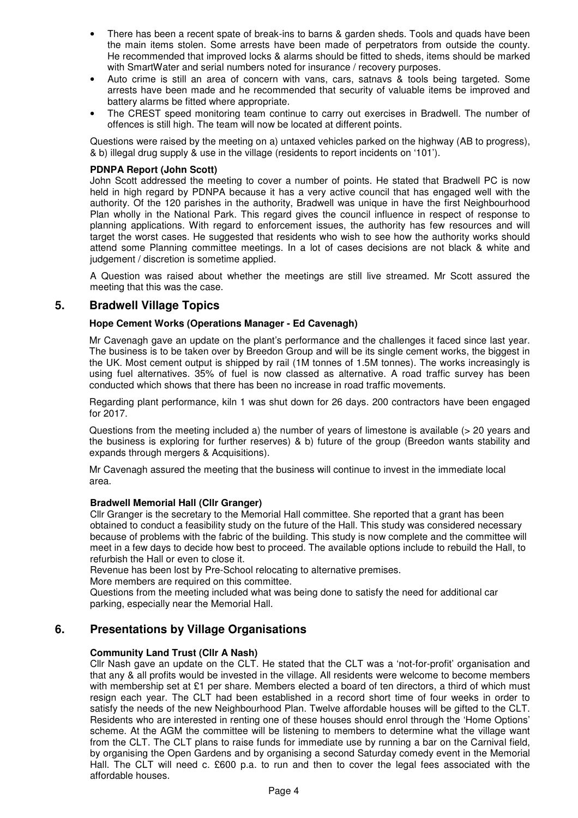- There has been a recent spate of break-ins to barns & garden sheds. Tools and quads have been the main items stolen. Some arrests have been made of perpetrators from outside the county. He recommended that improved locks & alarms should be fitted to sheds, items should be marked with SmartWater and serial numbers noted for insurance / recovery purposes.
- Auto crime is still an area of concern with vans, cars, satnavs & tools being targeted. Some arrests have been made and he recommended that security of valuable items be improved and battery alarms be fitted where appropriate.
- The CREST speed monitoring team continue to carry out exercises in Bradwell. The number of offences is still high. The team will now be located at different points.

Questions were raised by the meeting on a) untaxed vehicles parked on the highway (AB to progress), & b) illegal drug supply & use in the village (residents to report incidents on '101').

#### **PDNPA Report (John Scott)**

John Scott addressed the meeting to cover a number of points. He stated that Bradwell PC is now held in high regard by PDNPA because it has a very active council that has engaged well with the authority. Of the 120 parishes in the authority, Bradwell was unique in have the first Neighbourhood Plan wholly in the National Park. This regard gives the council influence in respect of response to planning applications. With regard to enforcement issues, the authority has few resources and will target the worst cases. He suggested that residents who wish to see how the authority works should attend some Planning committee meetings. In a lot of cases decisions are not black & white and judgement / discretion is sometime applied.

A Question was raised about whether the meetings are still live streamed. Mr Scott assured the meeting that this was the case.

## **5. Bradwell Village Topics**

#### **Hope Cement Works (Operations Manager - Ed Cavenagh)**

Mr Cavenagh gave an update on the plant's performance and the challenges it faced since last year. The business is to be taken over by Breedon Group and will be its single cement works, the biggest in the UK. Most cement output is shipped by rail (1M tonnes of 1.5M tonnes). The works increasingly is using fuel alternatives. 35% of fuel is now classed as alternative. A road traffic survey has been conducted which shows that there has been no increase in road traffic movements.

Regarding plant performance, kiln 1 was shut down for 26 days. 200 contractors have been engaged for 2017.

Questions from the meeting included a) the number of years of limestone is available (> 20 years and the business is exploring for further reserves) & b) future of the group (Breedon wants stability and expands through mergers & Acquisitions).

Mr Cavenagh assured the meeting that the business will continue to invest in the immediate local area.

#### **Bradwell Memorial Hall (Cllr Granger)**

Cllr Granger is the secretary to the Memorial Hall committee. She reported that a grant has been obtained to conduct a feasibility study on the future of the Hall. This study was considered necessary because of problems with the fabric of the building. This study is now complete and the committee will meet in a few days to decide how best to proceed. The available options include to rebuild the Hall, to refurbish the Hall or even to close it.

Revenue has been lost by Pre-School relocating to alternative premises.

More members are required on this committee.

Questions from the meeting included what was being done to satisfy the need for additional car parking, especially near the Memorial Hall.

# **6. Presentations by Village Organisations**

### **Community Land Trust (Cllr A Nash)**

Cllr Nash gave an update on the CLT. He stated that the CLT was a 'not-for-profit' organisation and that any & all profits would be invested in the village. All residents were welcome to become members with membership set at £1 per share. Members elected a board of ten directors, a third of which must resign each year. The CLT had been established in a record short time of four weeks in order to satisfy the needs of the new Neighbourhood Plan. Twelve affordable houses will be gifted to the CLT. Residents who are interested in renting one of these houses should enrol through the 'Home Options' scheme. At the AGM the committee will be listening to members to determine what the village want from the CLT. The CLT plans to raise funds for immediate use by running a bar on the Carnival field, by organising the Open Gardens and by organising a second Saturday comedy event in the Memorial Hall. The CLT will need c. £600 p.a. to run and then to cover the legal fees associated with the affordable houses.